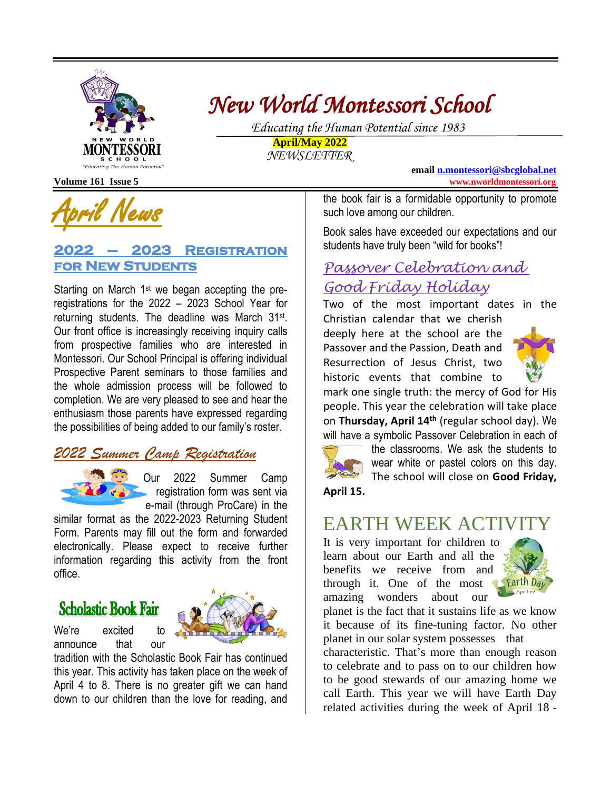

# *New World Montessori School*

 *Educating the Human Potential since 1983* **April/May 2022**

*NEWSLETTER*

**email [n.montessori@sbcglobal.net](mailto:n.montessori@sbcglobal.net) Volume 161 Issue 5 www.nworldmontessori.org**

April News

#### **2022 – 2023 Registration for New Students**

Starting on March 1st we began accepting the preregistrations for the 2022 – 2023 School Year for returning students. The deadline was March 31<sup>st</sup>. Our front office is increasingly receiving inquiry calls from prospective families who are interested in Montessori. Our School Principal is offering individual Prospective Parent seminars to those families and the whole admission process will be followed to completion. We are very pleased to see and hear the enthusiasm those parents have expressed regarding the possibilities of being added to our family's roster.

## *2022 Summer Camp Registration*



Our 2022 Summer Camp registration form was sent via e-mail (through ProCare) in the

similar format as the 2022-2023 Returning Student Form. Parents may fill out the form and forwarded electronically. Please expect to receive further information regarding this activity from the front office.

# **Scholastic Book Fair**



tradition with the Scholastic Book Fair has continued this year. This activity has taken place on the week of April 4 to 8. There is no greater gift we can hand down to our children than the love for reading, and

the book fair is a formidable opportunity to promote such love among our children.

Book sales have exceeded our expectations and our students have truly been "wild for books"!

# *Passover Celebration and Good Friday Holiday*

Two of the most important dates in the Christian calendar that we cherish

deeply here at the school are the Passover and the Passion, Death and Resurrection of Jesus Christ, two historic events that combine to



mark one single truth: the mercy of God for His people. This year the celebration will take place on **Thursday, April 14th** (regular school day). We will have a symbolic Passover Celebration in each of



the classrooms. We ask the students to wear white or pastel colors on this day. The school will close on **Good Friday,**

**April 15.**

# EARTH WEEK ACTIVITY

It is very important for children to learn about our Earth and all the benefits we receive from and through it. One of the most amazing wonders about our



planet is the fact that it sustains life as we know it because of its fine-tuning factor. No other planet in our solar system possesses that

characteristic. That's more than enough reason to celebrate and to pass on to our children how to be good stewards of our amazing home we call Earth. This year we will have Earth Day related activities during the week of April 18 -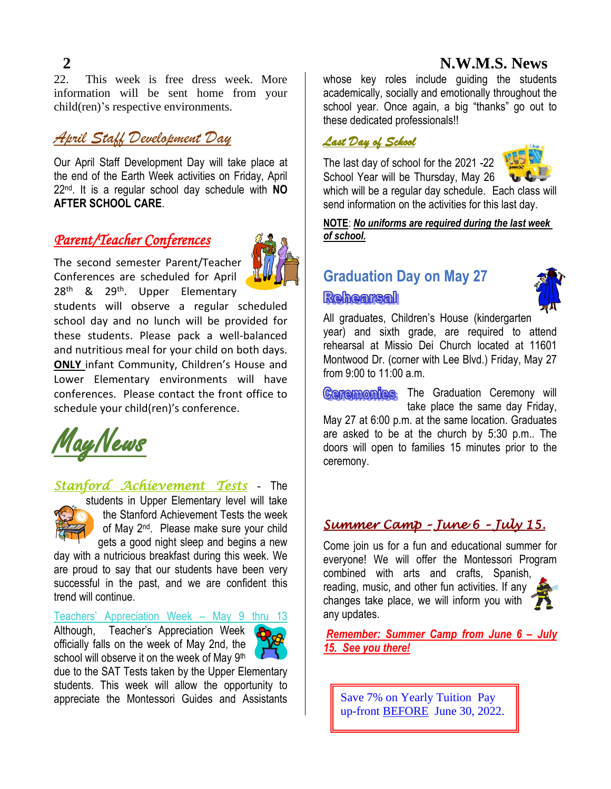### **2 N.W.M.S. News**

22. This week is free dress week. More information will be sent home from your child(ren)'s respective environments.

## *April Staff Development Day*

Our April Staff Development Day will take place at the end of the Earth Week activities on Friday, April 22 nd. It is a regular school day schedule with **NO AFTER SCHOOL CARE**.

#### *Parent/Teacher Conferences*



The second semester Parent/Teacher Conferences are scheduled for April 28<sup>th</sup> & 29<sup>th</sup>. Upper Elementary

students will observe a regular scheduled school day and no lunch will be provided for these students. Please pack a well-balanced and nutritious meal for your child on both days. **ONLY** infant Community, Children's House and Lower Elementary environments will have conferences. Please contact the front office to schedule your child(ren)'s conference.



*Stanford Achievement Tests* - The



students in Upper Elementary level will take the Stanford Achievement Tests the week of May 2<sup>nd</sup>. Please make sure your child gets a good night sleep and begins a new

day with a nutricious breakfast during this week. We are proud to say that our students have been very successful in the past, and we are confident this trend will continue.

Teachers' Appreciation Week – May 9 thru 13

Although, Teacher's Appreciation Week officially falls on the week of May 2nd, the school will observe it on the week of May 9<sup>th</sup>



whose key roles include guiding the students academically, socially and emotionally throughout the school year. Once again, a big "thanks" go out to these dedicated professionals!!

#### *Last Day of School*

The last day of school for the 2021 -22 School Year will be Thursday, May 26



which will be a regular day schedule. Each class will send information on the activities for this last day.

**NOTE**: *No uniforms are required during the last week of school.*

# **Graduation Day on May 27 Rehearsal**



All graduates, Children's House (kindergarten year) and sixth grade, are required to attend rehearsal at Missio Dei Church located at 11601 Montwood Dr. (corner with Lee Blvd.) Friday, May 27 from 9:00 to 11:00 a.m.

**Ceremonies** The Graduation Ceremony will take place the same day Friday, May 27 at 6:00 p.m. at the same location. Graduates are asked to be at the church by 5:30 p.m.. The doors will open to families 15 minutes prior to the ceremony.

### *Summer Camp – June 6 – July 15.*

Come join us for a fun and educational summer for everyone! We will offer the Montessori Program combined with arts and crafts, Spanish, reading, music, and other fun activities. If any changes take place, we will inform you with any updates.

*Remember: Summer Camp from June 6 – July 15. See you there!*

Save 7% on Yearly Tuition Pay up-front BEFORE June 30, 2022.